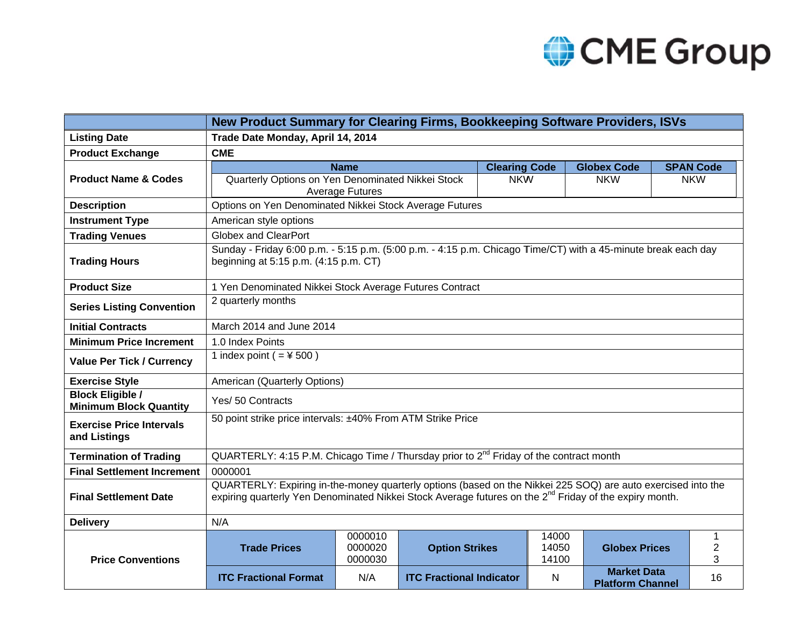

|                                                          | New Product Summary for Clearing Firms, Bookkeeping Software Providers, ISVs                                                                                                                                                       |                               |                                 |                      |                         |                                               |  |                  |
|----------------------------------------------------------|------------------------------------------------------------------------------------------------------------------------------------------------------------------------------------------------------------------------------------|-------------------------------|---------------------------------|----------------------|-------------------------|-----------------------------------------------|--|------------------|
| <b>Listing Date</b>                                      | Trade Date Monday, April 14, 2014                                                                                                                                                                                                  |                               |                                 |                      |                         |                                               |  |                  |
| <b>Product Exchange</b>                                  | <b>CME</b>                                                                                                                                                                                                                         |                               |                                 |                      |                         |                                               |  |                  |
|                                                          |                                                                                                                                                                                                                                    | <b>Name</b>                   |                                 | <b>Clearing Code</b> |                         | <b>Globex Code</b>                            |  | <b>SPAN Code</b> |
| <b>Product Name &amp; Codes</b>                          | Quarterly Options on Yen Denominated Nikkei Stock                                                                                                                                                                                  |                               |                                 | <b>NKW</b>           |                         | <b>NKW</b>                                    |  | <b>NKW</b>       |
| <b>Description</b>                                       | <b>Average Futures</b><br>Options on Yen Denominated Nikkei Stock Average Futures                                                                                                                                                  |                               |                                 |                      |                         |                                               |  |                  |
| <b>Instrument Type</b>                                   | American style options                                                                                                                                                                                                             |                               |                                 |                      |                         |                                               |  |                  |
| <b>Trading Venues</b>                                    | <b>Globex and ClearPort</b>                                                                                                                                                                                                        |                               |                                 |                      |                         |                                               |  |                  |
| <b>Trading Hours</b>                                     | Sunday - Friday 6:00 p.m. - 5:15 p.m. (5:00 p.m. - 4:15 p.m. Chicago Time/CT) with a 45-minute break each day<br>beginning at 5:15 p.m. (4:15 p.m. CT)                                                                             |                               |                                 |                      |                         |                                               |  |                  |
| <b>Product Size</b>                                      | 1 Yen Denominated Nikkei Stock Average Futures Contract                                                                                                                                                                            |                               |                                 |                      |                         |                                               |  |                  |
| <b>Series Listing Convention</b>                         | 2 quarterly months                                                                                                                                                                                                                 |                               |                                 |                      |                         |                                               |  |                  |
| <b>Initial Contracts</b>                                 | March 2014 and June 2014                                                                                                                                                                                                           |                               |                                 |                      |                         |                                               |  |                  |
| <b>Minimum Price Increment</b>                           | 1.0 Index Points                                                                                                                                                                                                                   |                               |                                 |                      |                         |                                               |  |                  |
| <b>Value Per Tick / Currency</b>                         | 1 index point ( $=$ ¥ 500)                                                                                                                                                                                                         |                               |                                 |                      |                         |                                               |  |                  |
| <b>Exercise Style</b>                                    | American (Quarterly Options)                                                                                                                                                                                                       |                               |                                 |                      |                         |                                               |  |                  |
| <b>Block Eligible /</b><br><b>Minimum Block Quantity</b> | Yes/ 50 Contracts                                                                                                                                                                                                                  |                               |                                 |                      |                         |                                               |  |                  |
| <b>Exercise Price Intervals</b><br>and Listings          | 50 point strike price intervals: ±40% From ATM Strike Price                                                                                                                                                                        |                               |                                 |                      |                         |                                               |  |                  |
| <b>Termination of Trading</b>                            | QUARTERLY: 4:15 P.M. Chicago Time / Thursday prior to $2^{nd}$ Friday of the contract month                                                                                                                                        |                               |                                 |                      |                         |                                               |  |                  |
| <b>Final Settlement Increment</b>                        | 0000001                                                                                                                                                                                                                            |                               |                                 |                      |                         |                                               |  |                  |
| <b>Final Settlement Date</b>                             | QUARTERLY: Expiring in-the-money quarterly options (based on the Nikkei 225 SOQ) are auto exercised into the<br>expiring quarterly Yen Denominated Nikkei Stock Average futures on the 2 <sup>nd</sup> Friday of the expiry month. |                               |                                 |                      |                         |                                               |  |                  |
| <b>Delivery</b>                                          | N/A                                                                                                                                                                                                                                |                               |                                 |                      |                         |                                               |  |                  |
| <b>Price Conventions</b>                                 | <b>Trade Prices</b>                                                                                                                                                                                                                | 0000010<br>0000020<br>0000030 | <b>Option Strikes</b>           |                      | 14000<br>14050<br>14100 | <b>Globex Prices</b>                          |  | 1<br>2<br>3      |
|                                                          | <b>ITC Fractional Format</b>                                                                                                                                                                                                       | N/A                           | <b>ITC Fractional Indicator</b> |                      | N                       | <b>Market Data</b><br><b>Platform Channel</b> |  | 16               |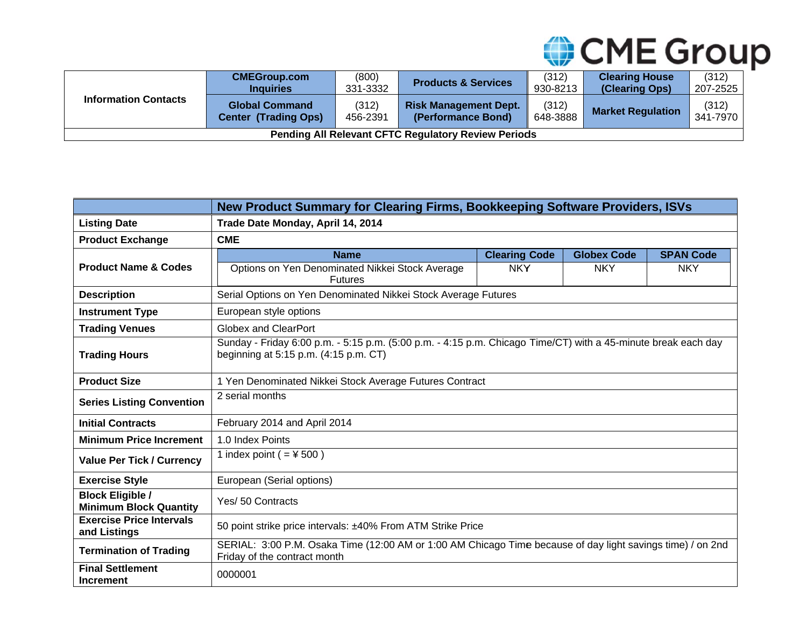

| <b>Information Contacts</b>                                | <b>CMEGroup.com</b><br><b>Inquiries</b>              | (800)<br>331-3332 | <b>Products &amp; Services</b>                     | (312)<br>930-8213 | <b>Clearing House</b><br>(Clearing Ops) | (312)<br>207-2525 |
|------------------------------------------------------------|------------------------------------------------------|-------------------|----------------------------------------------------|-------------------|-----------------------------------------|-------------------|
|                                                            | <b>Global Command</b><br><b>Center (Trading Ops)</b> | (312)<br>456-2391 | <b>Risk Management Dept.</b><br>(Performance Bond) | (312)<br>648-3888 | <b>Market Regulation</b>                | (312)<br>341-7970 |
| <b>Pending All Relevant CFTC Regulatory Review Periods</b> |                                                      |                   |                                                    |                   |                                         |                   |

|                                                          | New Product Summary for Clearing Firms, Bookkeeping Software Providers, ISVs                                                                           |                      |                    |                  |  |  |  |
|----------------------------------------------------------|--------------------------------------------------------------------------------------------------------------------------------------------------------|----------------------|--------------------|------------------|--|--|--|
| <b>Listing Date</b>                                      | Trade Date Monday, April 14, 2014                                                                                                                      |                      |                    |                  |  |  |  |
| <b>Product Exchange</b>                                  | <b>CME</b>                                                                                                                                             |                      |                    |                  |  |  |  |
|                                                          | <b>Name</b>                                                                                                                                            | <b>Clearing Code</b> | <b>Globex Code</b> | <b>SPAN Code</b> |  |  |  |
| <b>Product Name &amp; Codes</b>                          | Options on Yen Denominated Nikkei Stock Average<br><b>Futures</b>                                                                                      | <b>NKY</b>           | <b>NKY</b>         | <b>NKY</b>       |  |  |  |
| <b>Description</b>                                       | Serial Options on Yen Denominated Nikkei Stock Average Futures                                                                                         |                      |                    |                  |  |  |  |
| <b>Instrument Type</b>                                   | European style options                                                                                                                                 |                      |                    |                  |  |  |  |
| <b>Trading Venues</b>                                    | <b>Globex and ClearPort</b>                                                                                                                            |                      |                    |                  |  |  |  |
| <b>Trading Hours</b>                                     | Sunday - Friday 6:00 p.m. - 5:15 p.m. (5:00 p.m. - 4:15 p.m. Chicago Time/CT) with a 45-minute break each day<br>beginning at 5:15 p.m. (4:15 p.m. CT) |                      |                    |                  |  |  |  |
| <b>Product Size</b>                                      | 1 Yen Denominated Nikkei Stock Average Futures Contract                                                                                                |                      |                    |                  |  |  |  |
| <b>Series Listing Convention</b>                         | 2 serial months                                                                                                                                        |                      |                    |                  |  |  |  |
| <b>Initial Contracts</b>                                 | February 2014 and April 2014                                                                                                                           |                      |                    |                  |  |  |  |
| <b>Minimum Price Increment</b>                           | 1.0 Index Points                                                                                                                                       |                      |                    |                  |  |  |  |
| <b>Value Per Tick / Currency</b>                         | 1 index point ( $=$ ¥ 500)                                                                                                                             |                      |                    |                  |  |  |  |
| <b>Exercise Style</b>                                    | European (Serial options)                                                                                                                              |                      |                    |                  |  |  |  |
| <b>Block Eligible /</b><br><b>Minimum Block Quantity</b> | Yes/ 50 Contracts                                                                                                                                      |                      |                    |                  |  |  |  |
| <b>Exercise Price Intervals</b><br>and Listings          | 50 point strike price intervals: ±40% From ATM Strike Price                                                                                            |                      |                    |                  |  |  |  |
| <b>Termination of Trading</b>                            | SERIAL: 3:00 P.M. Osaka Time (12:00 AM or 1:00 AM Chicago Time because of day light savings time) / on 2nd<br>Friday of the contract month             |                      |                    |                  |  |  |  |
| <b>Final Settlement</b><br><b>Increment</b>              | 0000001                                                                                                                                                |                      |                    |                  |  |  |  |